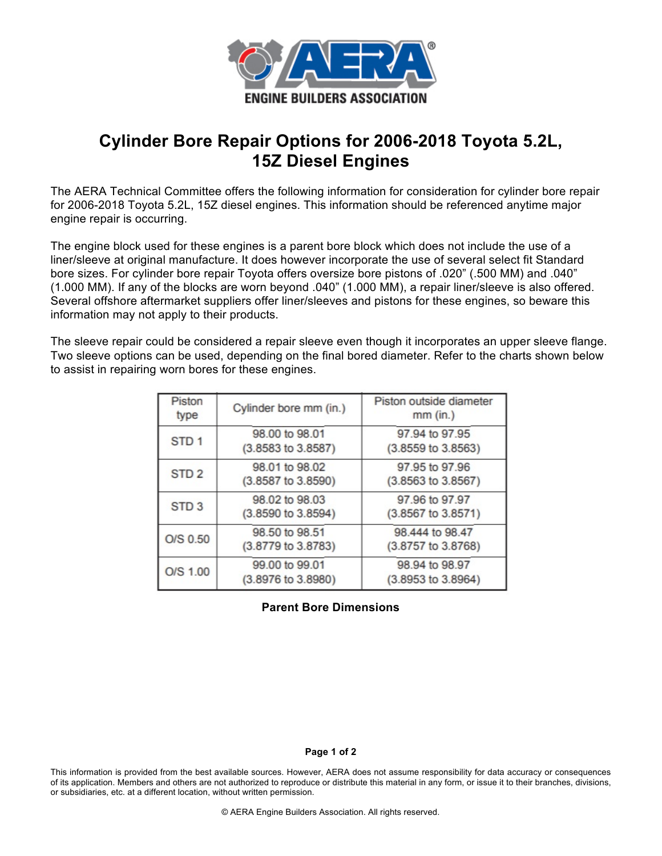

## **Cylinder Bore Repair Options for 2006-2018 Toyota 5.2L, 15Z Diesel Engines**

The AERA Technical Committee offers the following information for consideration for cylinder bore repair for 2006-2018 Toyota 5.2L, 15Z diesel engines. This information should be referenced anytime major engine repair is occurring.

The engine block used for these engines is a parent bore block which does not include the use of a liner/sleeve at original manufacture. It does however incorporate the use of several select fit Standard bore sizes. For cylinder bore repair Toyota offers oversize bore pistons of .020" (.500 MM) and .040" (1.000 MM). If any of the blocks are worn beyond .040" (1.000 MM), a repair liner/sleeve is also offered. Several offshore aftermarket suppliers offer liner/sleeves and pistons for these engines, so beware this information may not apply to their products.

The sleeve repair could be considered a repair sleeve even though it incorporates an upper sleeve flange. Two sleeve options can be used, depending on the final bored diameter. Refer to the charts shown below to assist in repairing worn bores for these engines.

| Piston<br>type   | Cylinder bore mm (in.)               | Piston outside diameter<br>$mm$ (in.)    |
|------------------|--------------------------------------|------------------------------------------|
| STD <sub>1</sub> | 98.00 to 98.01<br>(3.8583 to 3.8587) | 97.94 to 97.95<br>$(3.8559$ to $3.8563)$ |
| STD <sub>2</sub> | 98.01 to 98.02<br>(3.8587 to 3.8590) | 97.95 to 97.96<br>(3.8563 to 3.8567)     |
| STD <sub>3</sub> | 98.02 to 98.03<br>(3.8590 to 3.8594) | 97.96 to 97.97<br>(3.8567 to 3.8571)     |
| O/S 0.50         | 98.50 to 98.51<br>(3.8779 to 3.8783) | 98.444 to 98.47<br>(3.8757 to 3.8768)    |
| O/S 1.00         | 99.00 to 99.01<br>(3.8976 to 3.8980) | 98.94 to 98.97<br>(3.8953 to 3.8964)     |

## **Parent Bore Dimensions**

## **Page 1 of 2**

This information is provided from the best available sources. However, AERA does not assume responsibility for data accuracy or consequences of its application. Members and others are not authorized to reproduce or distribute this material in any form, or issue it to their branches, divisions, or subsidiaries, etc. at a different location, without written permission.